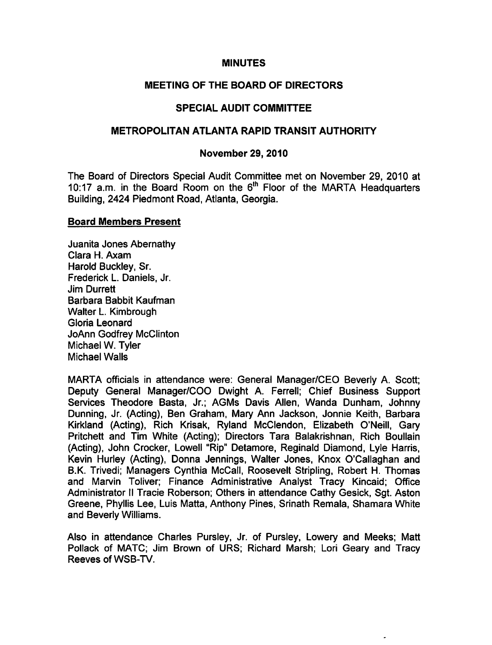## MINUTES

## MEETING OF THE BOARD OF DIRECTORS

# SPECIAL AUDIT COMMITTEE

## METROPOLITAN ATLANTA RAPID TRANSIT AUTHORITY

## November 29, 2010

The Board of Directors Special Audit Committee met on November 29, 2010 at 10:17 a.m. in the Board Room on the 6<sup>th</sup> Floor of the MARTA Headquarters Building, 2424 Piedmont Road, Atlanta, Georgia.

## Board Members Present

Juanita Jones Abemathy Clara H. Axam Harold Buckley, Sr. Frederick L. Daniels, Jr. Jim Durrett Barbara Babbit Kaufman Walter L. Kimbrough Gloria Leonard JoAnn Godfrey McClinton Michael W. Tyler Michael Walls

MARTA officials in attendance were: General Manager/CEO Beverly A. Scott; Deputy General Manager/COO Dwight A. Ferrell; Chief Business Support Services Theodore Basta, Jr.; AGMs Davis Allen, Wanda Dunham, Johnny Dunning, Jr. (Acting), Ben Graham, Mary Ann Jackson, Jonnie Keith, Barbara Kirkland (Acting), Rich Krisak, Ryland McClendon, Elizabeth O'Neill, Gary Pritchett and Tim White (Acting); Directors Tara Balakrishnan, Rich Boullain (Acting), John Crocker, Lowell "Rip" Detamore, Reginald Diamond, Lyle Harris, Kevin Hurley (Acting), Donna Jennings, Walter Jones, Knox O'Callaghan and B.K. Trivedi; Managers Cynthia McCall, Roosevelt Stripling, Robert H. Thomas and Marvin Toliver; Finance Administrative Analyst Tracy Kincaid; Office Administrator II Tracie Roberson; Others in attendance Cathy Gesick, Sgt. Aston Greene, Phyllis Lee, Luis Matta, Anthony Pines, Srinath Remala, Shamara White and Beverly Williams.

Also in attendance Charles Pursley, Jr. of Pursley, Lowery and Meeks; Matt Pollack of MATC; Jim Brown of URS; Richard Marsh; Lori Geary and Tracy Reeves of WSB-TV.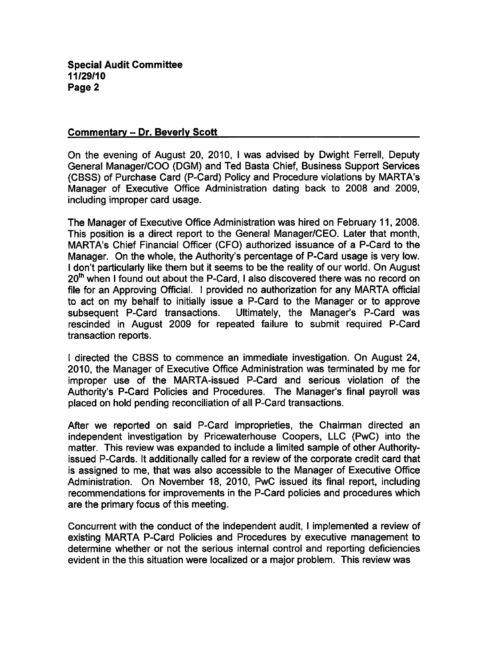#### Commentary - Dr. Beverly Scott

On the evening of August 20, 2010, I was advised by Dwight Ferrell, Deputy General Manager/COO (DGM) and Ted Basta Chief, Business Support Services (CBSS) of Purchase Card (P-Card) Policy and Procedure violations by MARTA's Manager of Executive Office Administration dating back to 2008 and 2009, including improper card usage.

The Manager of Executive Office Administration was hired on February 11, 2008. This position is a direct report to the General Manager/CEO. Later that month, MARTA's Chief Financial Officer (CFO) authorized issuance of a P-Card to the Manager. On the whole, the Authority's percentage of P-Card usage is very low. I don't particularly like them but it seems to be the reality of our world. On August  $20<sup>th</sup>$  when I found out about the P-Card, I also discovered there was no record on file for an Approving Official. I provided no authorization for any MARTA official to act on my behalf to initially issue a P-Card to the Manager or to approve subsequent P-Card transactions. Ultimately, the Manager's P-Card was rescinded in August 2009 for repeated failure to submit required P-Card transaction reports.

I directed the CBSS to commence an immediate investigation. On August 24, 2010, the Manager of Executive Office Administration was terminated by me for improper use of the MARTA-issued P-Card and serious violation of the Authority's P-Card Policies and Procedures. The Manager's final payroll was placed on hold pending reconciliation of all P-Card transactions.

After we reported on said P-Card improprieties, the Chairman directed an independent investigation by Pricewaterhouse Coopers, LLC (PwC) into the matter. This review was expanded to include a limited sample of other Authorityissued P-Cards. It additionally called for a review of the corporate credit card that is assigned to me, that was also accessible to the Manager of Executive Office Administration. On November 18, 2010, PwC issued its final report, including recommendations for improvements in the P-Card policies and procedures which are the primary focus of this meeting.

Concurrent with the conduct of the independent audit, I implemented a review of existing MARTA P-Card Policies and Procedures by executive management to determine whether or not the serious internal control and reporting deficiencies evident in the this situation were localized or a major problem. This review was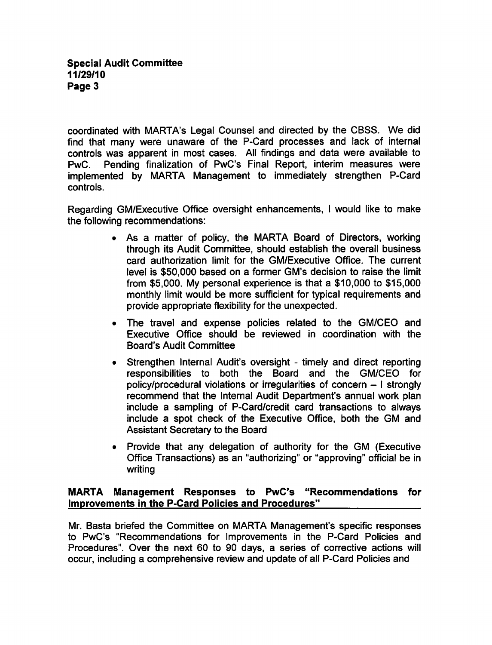coordinated with MARTA's Legal Counsel and directed by the CBSS. We did find that many were unaware of the P-Card processes and lack of internal controls was apparent in most cases. All findings and data were available to PwC. Pending finalization of PwC's Final Report, interim measures were implemented by MARTA Management to immediately strengthen P-Card controls.

Regarding GM/Executive Office oversight enhancements, I would like to make the following recommendations:

- As a matter of policy, the MARTA Board of Directors, working through its Audit Committee, should establish the overall business card authorization limit for the GM/Executive Office. The current level is \$50,000 based on a former GM's decision to raise the limit from \$5,000. My personal experience is that a  $$10,000$  to  $$15,000$ monthly limit would be more sufficient for typical requirements and provide appropriate flexibility for the unexpected.
- The travel and expense policies related to the GM/CEO and Executive Office should be reviewed in coordination with the Board's Audit Committee
- Strengthen Internal Audit's oversight timely and direct reporting responsibilities to both the Board and the GM/CEO for policy/procedural violations or irregularities of concern  $-1$  strongly recommend that the Internal Audit Department's annual work plan include a sampling of P-Card/credit card transactions to always include a spot check of the Executive Office, both the GM and Assistant Secretary to the Board
- Provide that any delegation of authority for the GM (Executive Office Transactions) as an "authorizing" or "approving" official be in writing

# MARTA Management Responses to PwC's "Recommendations for Improvements in the P-Card Policies and Procedures"

Mr. Basta briefed the Committee on MARTA Management's specific responses to PwC's "Recommendations for Improvements in the P-Card Policies and Procedures". Over the next 60 to 90 days, a series of corrective actions will occur, including a comprehensive review and update of all P-Card Policies and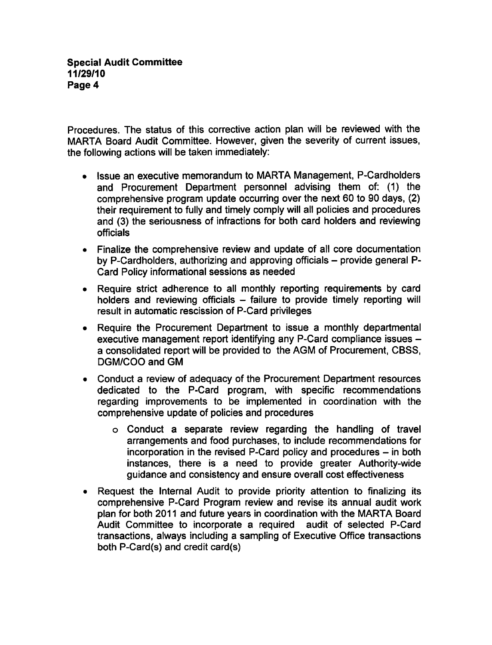Procedures. The status of this corrective action plan will be reviewed with the MARTA Board Audit Committee. However, given the severity of current issues, the following actions will be taken immediately:

- Issue an executive memorandum to MARTA Management, P-Cardholders and Procurement Department personnel advising them of: (1) the comprehensive program update occurring over the next 60 to 90 days, (2) their requirement to fully and timely comply will all policies and procedures and (3) the seriousness of infractions for both card holders and reviewing officials
- Finalize the comprehensive review and update of all core documentation by P-Cardholders, authorizing and approving officials - provide general P-Card Policy informational sessions as needed
- Require strict adherence to all monthly reporting requirements by card holders and reviewing officials  $-$  failure to provide timely reporting will result in automatic rescission of P-Card privileges
- Require the Procurement Department to issue a monthly departmental  $\bullet$ executive management report identifying any P-Card compliance issues a consolidated report will be provided to the AGM of Procurement, CBSS, DGM/COO and GM
- Conduct a review of adequacy of the Procurement Department resources  $\bullet$ dedicated to the P-Card program, with specific recommendations regarding improvements to be implemented in coordination with the comprehensive update of policies and procedures
	- $\circ$  Conduct a separate review regarding the handling of travel arrangements and food purchases, to include recommendations for incorporation in the revised P-Card policy and procedures  $-$  in both instances, there is a need to provide greater Authority-wide guidance and consistency and ensure overall cost effectiveness
- Request the Internal Audit to provide priority attention to finalizing its comprehensive P-Card Program review and revise its annual audit work plan for both 2011 and future years in coordination with the MARTA Board Audit Committee to incorporate a required audit of selected P-Card transactions, always including a sampling of Executive Office transactions both P-Card(s) and credit card(s)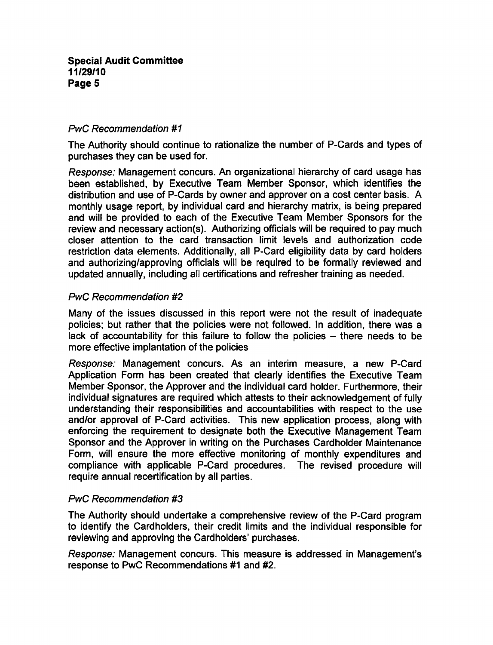## PwC Recommendation #1

The Authority should continue to rationalize the number of P-Cards and types of purchases they can be used for.

Response: Management concurs. An organizational hierarchy of card usage has been established, by Executive Team Member Sponsor, which identifies the distribution and use of P-Cards by owner and approver on a cost center basis. A monthly usage report, by individual card and hierarchy matrix, is being prepared and will be provided to each of the Executive Team Member Sponsors for the review and necessary action(s). Authorizing officials will be required to pay much closer attention to the card transaction limit levels and authorization code restriction data elements. Additionally, all P-Card eligibility data by card holders and authorizing/approving officials will be required to be formally reviewed and updated annually, including all certifications and refresher training as needed.

## PwC Recommendation #2

Many of the issues discussed in this report were not the result of inadequate policies; but rather that the policies were not followed. In addition, there was a lack of accountability for this failure to follow the policies  $-$  there needs to be more effective implantation of the policies

Response: Management concurs. As an interim measure, a new P-Card Application Form has been created that clearly identifies the Executive Team Member Sponsor, the Approver and the individual card holder. Furthermore, their individual signatures are required which attests to their acknowledgement of fully understanding their responsibilities and accountabilities with respect to the use and/or approval of P-Card activities. This new application process, along with enforcing the requirement to designate both the Executive Management Team Sponsor and the Approver in writing on the Purchases Cardholder Maintenance Form, will ensure the more effective monitoring of monthly expenditures and compliance with applicable P-Card procedures. The revised procedure will require annual recertification by all parties.

## PwC Recommendation #3

The Authority should undertake a comprehensive review of the P-Card program to identify the Cardholders, their credit limits and the individual responsible for reviewing and approving the Cardholders' purchases.

Response: Management concurs. This measure is addressed in Management's response to PwC Recommendations #1 and #2.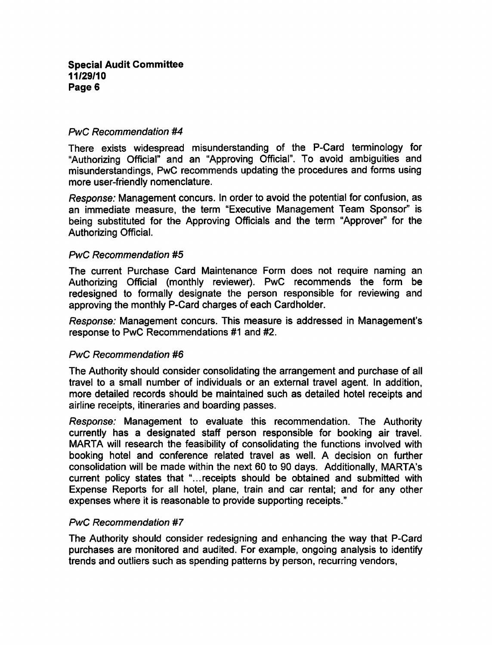## PwC Recommendation #4

There exists widespread misunderstanding of the P-Card terminology for "Authorizing Official" and an "Approving Official". To avoid ambiguities and misunderstandings, PwC recommends updating the procedures and forms using more user-friendly nomenclature.

Response: Management concurs. In order to avoid the potential for confusion, as an immediate measure, the term "Executive Management Team Sponsor" is being substituted for the Approving Officials and the term "Approver" for the Authorizing Official.

#### PwC Recommendation #5

The current Purchase Card Maintenance Form does not require naming an Authorizing Official (monthly reviewer). PwC recommends the form be redesigned to formally designate the person responsible for reviewing and approving the monthly P-Card charges of each Cardholder.

Response: Management concurs. This measure is addressed in Management's response to PwC Recommendations #1 and #2.

## PwC Recommendation #6

The Authority should consider consolidating the arrangement and purchase of all travel to a small number of individuals or an external travel agent. In addition, more detailed records should be maintained such as detailed hotel receipts and airline receipts, itineraries and boarding passes.

Response: Management to evaluate this recommendation. The Authority currently has designated staff person responsible for booking air travel. MARTA will research the feasibility of consolidating the functions involved with booking hotel and conference related travel as well. A decision on further consolidation will be made within the next 60 to 90 days. Additionally, MARTA's current policy states that "...receipts should be obtained and submitted with Expense Reports for all hotel, plane, train and car rental; and for any other expenses where it is reasonable to provide supporting receipts."

#### PwC Recommendation #7

The Authority should consider redesigning and enhancing the way that P-Card purchases are monitored and audited. For example, ongoing analysis to identify trends and outliers such as spending patterns by person, recurring vendors,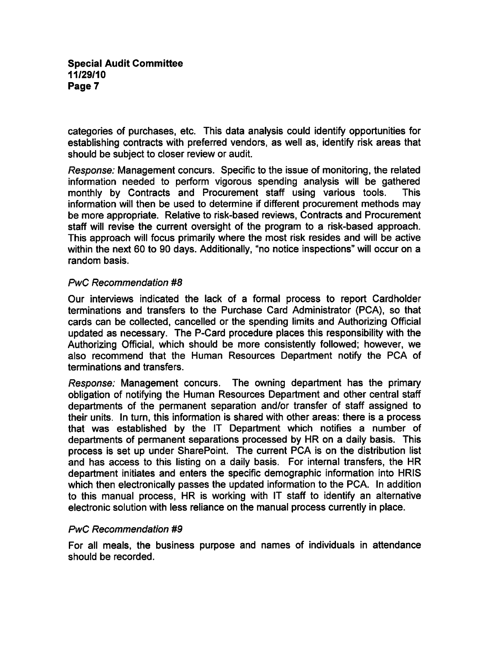categories of purchases, etc. This data analysis could identify opportunities for establishing contracts with preferred vendors, as well as, identify risk areas that should be subject to closer review or audit.

Response: Management concurs. Specific to the issue of monitoring, the related information needed to perform vigorous spending analysis will be gathered monthly by Contracts and Procurement staff using various tools. This information will then be used to determine if different procurement methods may be more appropriate. Relative to risk-based reviews, Contracts and Procurement staff will revise the current oversight of the program to a risk-based approach. This approach will focus primarily where the most risk resides and will be active within the next 60 to 90 days. Additionally, "no notice inspections" will occur on a random basis.

## PwC Recommendation #8

Our interviews indicated the lack of a formal process to report Cardholder terminations and transfers to the Purchase Card Administrator (PCA), so that cards can be collected, cancelled or the spending limits and Authorizing Official updated as necessary. The P-Card procedure places this responsibility with the Authorizing Official, which should be more consistently followed; however, we also recommend that the Human Resources Department notify the PCA of terminations and transfers.

Response: Management concurs. The owning department has the primary obligation of notifying the Human Resources Department and other central staff departments of the permanent separation and/or transfer of staff assigned to their units. In turn, this information is shared with other areas: there is a process that was established by the IT Department which notifies a number of departments of permanent separations processed by HR on a daily basis. This process is set up under SharePoint. The current PCA is on the distribution list and has access to this listing on a daily basis. For internal transfers, the HR department initiates and enters the specific demographic information into HRIS which then electronically passes the updated information to the PCA. In addition to this manual process, HR is working with IT staff to identify an alternative electronic solution with less reliance on the manual process currently in place.

#### PwC Recommendation #9

For all meals, the business purpose and names of individuals in attendance should be recorded.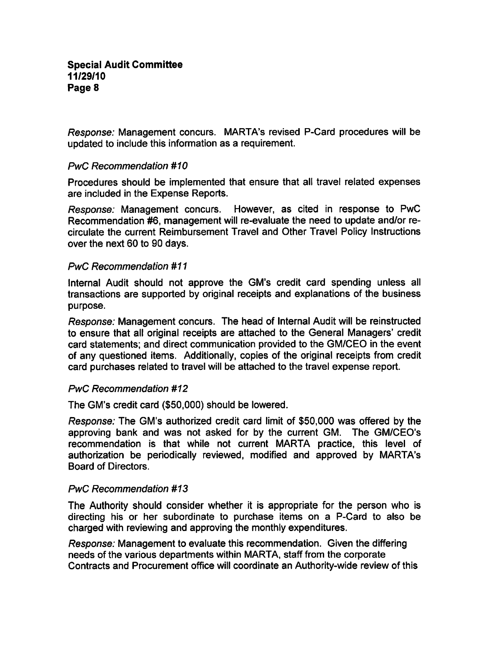Response: Management concurs. MARTA's revised P-Card procedures will be updated to include this information as a requirement.

## PwC Recommendation #10

Procedures should be implemented that ensure that all travel related expenses are included in the Expense Reports.

Response: Management concurs. However, as cited in response to PwC Recommendation #6, management will re-evaluate the need to update and/or recirculate the current Reimbursement Travel and Other Travel Policy Instructions over the next 60 to 90 days.

## PwC Recommendation #1

Internal Audit should not approve the GM's credit card spending unless all transactions are supported by original receipts and explanations of the business purpose.

Response: Management concurs. The head of Internal Audit will be reinstructed to ensure that all original receipts are attached to the General Managers' credit card statements; and direct communication provided to the GM/CEO in the event of any questioned items. Additionally, copies of the original receipts from credit card purchases related to travel will be attached to the travel expense report.

## PwC Recommendation #12

The GM's credit card (\$50,000) should be lowered.

Response: The GM's authorized credit card limit of \$50,000 was offered by the approving bank and was not asked for by the current GM. The GM/CEO's recommendation is that while not current MARTA practice, this level of authorization be periodically reviewed, modified and approved by MARTA's Board of Directors.

## PwC Recommendation #13

The Authority should consider whether it is appropriate for the person who is directing his or her subordinate to purchase items on a P-Card to also be charged with reviewing and approving the monthly expenditures.

Response: Management to evaluate this recommendation. Given the differing needs of the various departments within MARTA, staff from the corporate Contracts and Procurement office will coordinate an Authority-wide review of this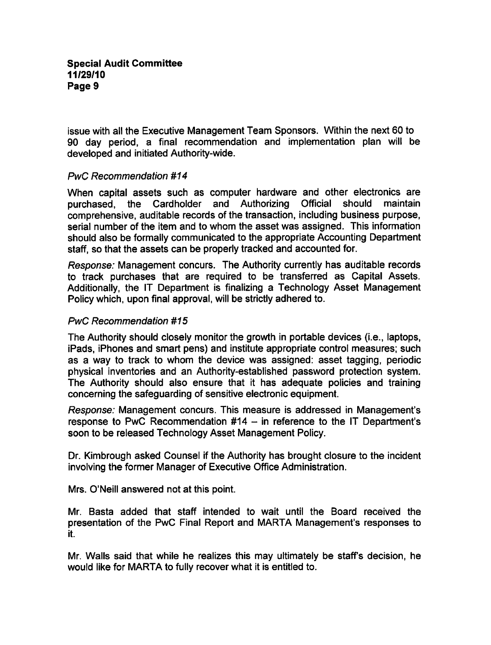issue with all the Executive Management Team Sponsors. Within the next 60 to 90 day period, a final recommendation and implementation plan will be developed and initiated Authority-wide.

## PwC Recommendation #14

When capital assets such as computer hardware and other electronics are purchased, the Cardholder and Authorizing Official should maintain comprehensive, auditable records of the transaction, including business purpose, serial number of the item and to whom the asset was assigned. This information should also be formally communicated to the appropriate Accounting Department staff, so that the assets can be properly tracked and accounted for.

Response: Management concurs. The Authority currently has auditable records to track purchases that are required to be transferred as Capital Assets. Additionally, the IT Department is finalizing a Technology Asset Management Policy which, upon final approval, will be strictly adhered to.

## PwC Recommendation #15

The Authority should closely monitor the growth in portable devices (i.e., laptops, iPads, iPhones and smart pens) and institute appropriate control measures; such as a way to track to whom the device was assigned: asset tagging, periodic physical inventories and an Authority-established password protection system. The Authority should also ensure that it has adequate policies and training concerning the safeguarding of sensitive electronic equipment.

Response: Management concurs. This measure is addressed in Management's response to PwC Recommendation  $#14 -$  in reference to the IT Department's soon to be released Technology Asset Management Policy.

Dr. Kimbrough asked Counsel if the Authority has brought closure to the incident involving the former Manager of Executive Office Administration.

Mrs. O'Neill answered not at this point.

Mr. Basta added that staff intended to wait until the Board received the presentation of the PwC Final Report and MARTA Management's responses to it.

Mr. Walls said that while he realizes this may ultimately be staff's decision, he would like for MARTA to fully recover what it is entitled to.